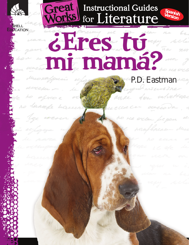# Great Instructional Guides

#### **Spanish Version**

# ¿Fres tú i mamá?

**HELL** EDUCATION

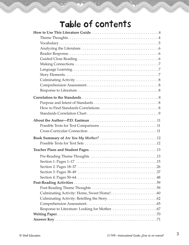# Table of Contents

| Section 2: Pages 18–37 |
|------------------------|
|                        |
|                        |
|                        |
|                        |
|                        |
|                        |
|                        |
|                        |
|                        |
|                        |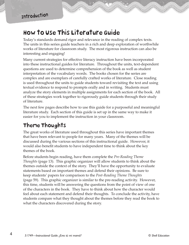#### How to Use This Literature Guide

Today's standards demand rigor and relevance in the reading of complex texts. The units in this series guide teachers in a rich and deep exploration of worthwhile works of literature for classroom study. The most rigorous instruction can also be interesting and engaging!

Many current strategies for effective literacy instruction have been incorporated into these instructional guides for literature. Throughout the units, text-dependent questions are used to determine comprehension of the book as well as student interpretation of the vocabulary words. The books chosen for the series are complex and are exemplars of carefully crafted works of literature. Close reading is used throughout the units to guide students toward revisiting the text and using textual evidence to respond to prompts orally and in writing. Students must analyze the story elements in multiple assignments for each section of the book. All of these strategies work together to rigorously guide students through their study of literature.

The next few pages describe how to use this guide for a purposeful and meaningful literature study. Each section of this guide is set up in the same way to make it easier for you to implement the instruction in your classroom.

#### Theme Thoughts

The great works of literature used throughout this series have important themes that have been relevant to people for many years. Many of the themes will be discussed during the various sections of this instructional guide. However, it would also benefit students to have independent time to think about the key themes of the book.

Before students begin reading, have them complete the *Pre-Reading Theme Thoughts* (page 13). This graphic organizer will allow students to think about the themes outside the context of the story. They'll have the opportunity to evaluate statements based on important themes and defend their opinions. Be sure to keep students' papers for comparison to the *Post-Reading Theme Thoughts* (page 59). This graphic organizer is similar to the pre-reading activity. However, this time, students will be answering the questions from the point of view of one of the characters in the book. They have to think about how the character would feel about each statement and defend their thoughts. To conclude the activity, have students compare what they thought about the themes before they read the book to what the characters discovered during the story.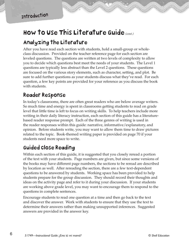#### How to Use This Literature Guide*(cont.)*

#### Analyzing the Literature

After you have read each section with students, hold a small-group or wholeclass discussion. Provided on the teacher reference page for each section are leveled questions. The questions are written at two levels of complexity to allow you to decide which questions best meet the needs of your students. The Level 1 questions are typically less abstract than the Level 2 questions. These questions are focused on the various story elements, such as character, setting, and plot. Be sure to add further questions as your students discuss what they've read. For each question, a few key points are provided for your reference as you discuss the book with students.

#### Reader Response

In today's classrooms, there are often great readers who are below average writers. So much time and energy is spent in classrooms getting students to read on grade level that little time is left to focus on writing skills. To help teachers include more writing in their daily literacy instruction, each section of this guide has a literaturebased reader response prompt. Each of the three genres of writing is used in the reader responses within this guide: narrative, informative/explanatory, and opinion. Before students write, you may want to allow them time to draw pictures related to the topic. Book-themed writing paper is provided on page 70 if your students need more space to write.

#### Guided Close Reading

Within each section of this guide, it is suggested that you closely reread a portion of the text with your students. Page numbers are given, but since some versions of the books may have different page numbers, the sections to be reread are described by location as well. After rereading the section, there are a few text-dependent questions to be answered by students. Working space has been provided to help students prepare for the group discussion. They should record their thoughts and ideas on the activity page and refer to it during your discussion. If your students are working above grade level, you may want to encourage them to respond to the questions in complete sentences.

Encourage students to read one question at a time and then go back to the text and discover the answer. Work with students to ensure that they use the text to determine their answers rather than making unsupported inferences. Suggested answers are provided in the answer key.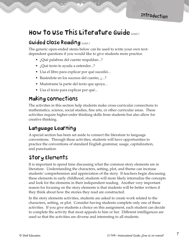#### How to Use This Literature Guide*(cont.)*

#### Guided Close Reading*(cont.)*

The generic open-ended stems below can be used to write your own textdependent questions if you would like to give students more practice.

- ¿Qué palabras del cuento respaldan...?
- ¿Qué texto te ayuda a entender...?
- Usa el libro para explicar por qué sucedió...
- Basándote en los sucesos del cuento, ¿...?
- Muéstrame la parte del texto que apoya...
- Usa el texto para explicar por qué...

#### Making Connections

The activities in this section help students make cross-curricular connections to mathematics, science, social studies, fine arts, or other curricular areas. These activities require higher-order thinking skills from students but also allow for creative thinking.

#### Language Learning

A special section has been set aside to connect the literature to language conventions. Through these activities, students will have opportunities to practice the conventions of standard English grammar, usage, capitalization, and punctuation.

#### Story Elements

It is important to spend time discussing what the common story elements are in literature. Understanding the characters, setting, plot, and theme can increase students' comprehension and appreciation of the story. If teachers begin discussing these elements in early childhood, students will more likely internalize the concepts and look for the elements in their independent reading. Another very important reason for focusing on the story elements is that students will be better writers if they think about how the stories they read are constructed.

In the story elements activities, students are asked to create work related to the characters, setting, or plot. Consider having students complete only one of these activities. If you give students a choice on this assignment, each student can decide to complete the activity that most appeals to him or her. Different intelligences are used so that the activities are diverse and interesting to all students.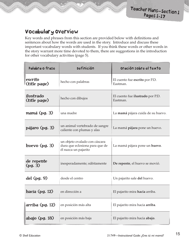#### Vocabulary Overview

Key words and phrases from this section are provided below with definitions and sentences about how the words are used in the story. Introduce and discuss these important vocabulary words with students. If you think these words or other words in the story warrant more time devoted to them, there are suggestions in the introduction for other vocabulary activities (page 5).

| Palabra o frase           | <b>Definición</b>                                                                       | Oración sobre el texto                       |
|---------------------------|-----------------------------------------------------------------------------------------|----------------------------------------------|
| escrito<br>(title page)   | hecho con palabras                                                                      | El cuento fue escrito por P.D.<br>Eastman.   |
| ilustrado<br>(title page) | hecho con dibujos                                                                       | El cuento fue ilustrado por P.D.<br>Eastman. |
| mamá (pg. 3)              | una madre                                                                               | La mamá pájara cuida de su huevo.            |
| pájaro (pg. 3)            | un animal vertebrado de sangre<br>caliente con plumas y alas                            | La mamá pájara pone un huevo.                |
| huevo $(pg. 3)$           | un objeto ovalado con cáscara<br>dura que eclosiona para que de<br>él nazca un pajarito | La mamá pájara pone un huevo.                |
| de repente<br>(pg. 3)     | inesperadamente; súbitamente                                                            | De repente, el huevo se movió.               |
| del $(pg. 9)$             | desde el centro                                                                         | Un pajarito sale del huevo.                  |
| hacia $(pg. 12)$          | en dirección a                                                                          | El pajarito mira hacia arriba.               |
| arriba (pg. 12)           | en posición más alta                                                                    | El pajarito mira hacia arriba.               |
| abajo (pg. 18)            | en posición más baja                                                                    | El pajarito mira hacia abajo.                |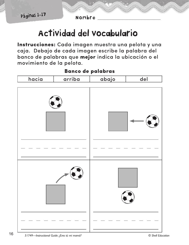Nombre

## Actividad del vocabulario

Instrucciones: Cada imagen muestra una pelota y una caja. Debajo de cada imagen escribe la palabra del banco de palabras que mejor indica la ubicación o el movimiento de la pelota.

# hacia arriba abajo del

#### **Banco de palabras**

16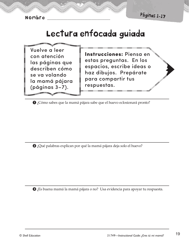Nombre

Páginas 1-17

## Lectura enfocada guiada

Vuelve a leer con atención las páginas que describen cómo se va volando la mamá pájara (páginas 3-7).

Instrucciones: Piensa en estas preguntas. En los espacios, escribe ideas o haz dibujos. Prepárate para compartir tus respuestas.

Cómo sabes que la mamá pájara sabe que el huevo eclosionará pronto?

2 ¿Qué palabras explican por qué la mamá pájara deja solo el huevo?

Es buena mamá la mamá pájara o no? Usa evidencia para apoyar tu respuesta.

19